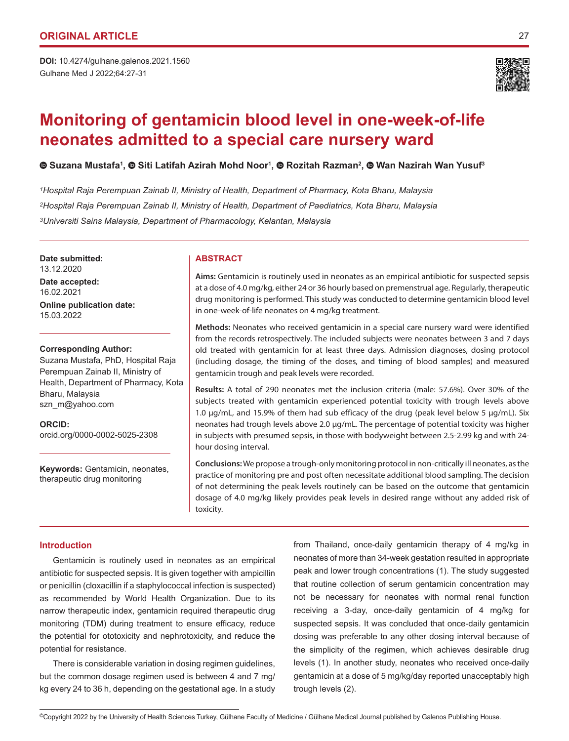Gulhane Med J 2022;64:27-31 **DOI:** 10.4274/gulhane.galenos.2021.1560



# **Monitoring of gentamicin blood level in one-week-of-life neonates admitted to a special care nursery ward**

 **Suzana Mustafa<sup>1</sup> ,Siti Latifah Azirah Mohd Noor<sup>1</sup> , Rozitah Razman<sup>2</sup> ,Wan Nazirah Wan Yusuf<sup>3</sup>**

*1Hospital Raja Perempuan Zainab II, Ministry of Health, Department of Pharmacy, Kota Bharu, Malaysia 2Hospital Raja Perempuan Zainab II, Ministry of Health, Department of Paediatrics, Kota Bharu, Malaysia 3Universiti Sains Malaysia, Department of Pharmacology, Kelantan, Malaysia*

**Date submitted:** 13.12.2020

**Date accepted:** 16.02.2021 **Online publication date:** 15.03.2022

## **Corresponding Author:**

Suzana Mustafa, PhD, Hospital Raja Perempuan Zainab II, Ministry of Health, Department of Pharmacy, Kota Bharu, Malaysia szn\_m@yahoo.com

**ORCID:**  orcid.org/0000-0002-5025-2308

**Keywords:** Gentamicin, neonates, therapeutic drug monitoring

# **ABSTRACT**

**Aims:** Gentamicin is routinely used in neonates as an empirical antibiotic for suspected sepsis at a dose of 4.0 mg/kg, either 24 or 36 hourly based on premenstrual age. Regularly, therapeutic drug monitoring is performed. This study was conducted to determine gentamicin blood level in one-week-of-life neonates on 4 mg/kg treatment.

**Methods:** Neonates who received gentamicin in a special care nursery ward were identified from the records retrospectively. The included subjects were neonates between 3 and 7 days old treated with gentamicin for at least three days. Admission diagnoses, dosing protocol (including dosage, the timing of the doses, and timing of blood samples) and measured gentamicin trough and peak levels were recorded.

**Results:** A total of 290 neonates met the inclusion criteria (male: 57.6%). Over 30% of the subjects treated with gentamicin experienced potential toxicity with trough levels above 1.0 μg/mL, and 15.9% of them had sub efficacy of the drug (peak level below 5 μg/mL). Six neonates had trough levels above 2.0 μg/mL. The percentage of potential toxicity was higher in subjects with presumed sepsis, in those with bodyweight between 2.5-2.99 kg and with 24 hour dosing interval.

**Conclusions:** We propose a trough-only monitoring protocol in non-critically ill neonates, as the practice of monitoring pre and post often necessitate additional blood sampling. The decision of not determining the peak levels routinely can be based on the outcome that gentamicin dosage of 4.0 mg/kg likely provides peak levels in desired range without any added risk of toxicity.

# **Introduction**

Gentamicin is routinely used in neonates as an empirical antibiotic for suspected sepsis. It is given together with ampicillin or penicillin (cloxacillin if a staphylococcal infection is suspected) as recommended by World Health Organization. Due to its narrow therapeutic index, gentamicin required therapeutic drug monitoring (TDM) during treatment to ensure efficacy, reduce the potential for ototoxicity and nephrotoxicity, and reduce the potential for resistance.

There is considerable variation in dosing regimen guidelines, but the common dosage regimen used is between 4 and 7 mg/ kg every 24 to 36 h, depending on the gestational age. In a study from Thailand, once-daily gentamicin therapy of 4 mg/kg in neonates of more than 34-week gestation resulted in appropriate peak and lower trough concentrations (1). The study suggested that routine collection of serum gentamicin concentration may not be necessary for neonates with normal renal function receiving a 3-day, once-daily gentamicin of 4 mg/kg for suspected sepsis. It was concluded that once-daily gentamicin dosing was preferable to any other dosing interval because of the simplicity of the regimen, which achieves desirable drug levels (1). In another study, neonates who received once-daily gentamicin at a dose of 5 mg/kg/day reported unacceptably high trough levels (2).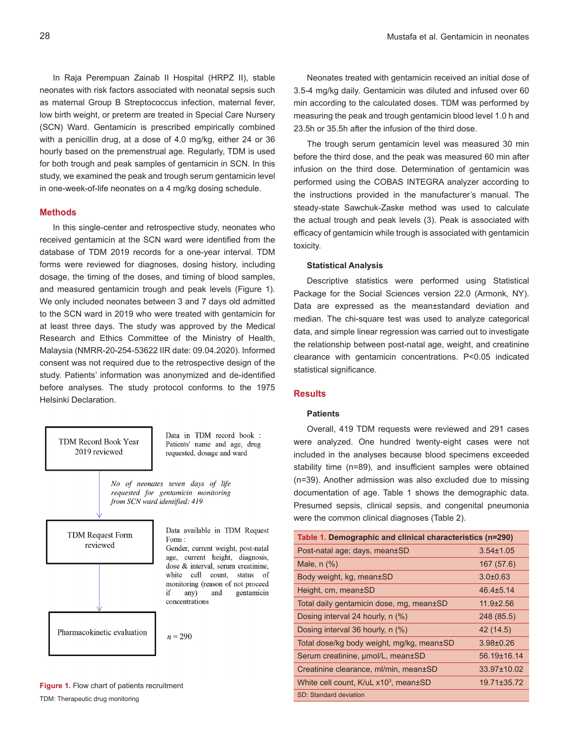In Raja Perempuan Zainab II Hospital (HRPZ II), stable neonates with risk factors associated with neonatal sepsis such as maternal Group B Streptococcus infection, maternal fever, low birth weight, or preterm are treated in Special Care Nursery (SCN) Ward. Gentamicin is prescribed empirically combined with a penicillin drug, at a dose of 4.0 mg/kg, either 24 or 36 hourly based on the premenstrual age. Regularly, TDM is used for both trough and peak samples of gentamicin in SCN. In this study, we examined the peak and trough serum gentamicin level in one-week-of-life neonates on a 4 mg/kg dosing schedule.

## **Methods**

In this single-center and retrospective study, neonates who received gentamicin at the SCN ward were identified from the database of TDM 2019 records for a one-year interval. TDM forms were reviewed for diagnoses, dosing history, including dosage, the timing of the doses, and timing of blood samples, and measured gentamicin trough and peak levels (Figure 1). We only included neonates between 3 and 7 days old admitted to the SCN ward in 2019 who were treated with gentamicin for at least three days. The study was approved by the Medical Research and Ethics Committee of the Ministry of Health, Malaysia (NMRR-20-254-53622 IIR date: 09.04.2020). Informed consent was not required due to the retrospective design of the study. Patients' information was anonymized and de-identified before analyses. The study protocol conforms to the 1975 Helsinki Declaration.



**Figure 1.** Flow chart of patients recruitment TDM: Therapeutic drug monitoring

Neonates treated with gentamicin received an initial dose of 3.5-4 mg/kg daily. Gentamicin was diluted and infused over 60 min according to the calculated doses. TDM was performed by measuring the peak and trough gentamicin blood level 1.0 h and 23.5h or 35.5h after the infusion of the third dose.

The trough serum gentamicin level was measured 30 min before the third dose, and the peak was measured 60 min after infusion on the third dose. Determination of gentamicin was performed using the COBAS INTEGRA analyzer according to the instructions provided in the manufacturer's manual. The steady-state Sawchuk-Zaske method was used to calculate the actual trough and peak levels (3). Peak is associated with efficacy of gentamicin while trough is associated with gentamicin toxicity.

#### **Statistical Analysis**

Descriptive statistics were performed using Statistical Package for the Social Sciences version 22.0 (Armonk, NY). Data are expressed as the mean±standard deviation and median. The chi-square test was used to analyze categorical data, and simple linear regression was carried out to investigate the relationship between post-natal age, weight, and creatinine clearance with gentamicin concentrations. P<0.05 indicated statistical significance.

# **Results**

## **Patients**

Overall, 419 TDM requests were reviewed and 291 cases were analyzed. One hundred twenty-eight cases were not included in the analyses because blood specimens exceeded stability time (n=89), and insufficient samples were obtained (n=39). Another admission was also excluded due to missing documentation of age. Table 1 shows the demographic data. Presumed sepsis, clinical sepsis, and congenital pneumonia were the common clinical diagnoses (Table 2).

| Table 1. Demographic and clinical characteristics (n=290) |                   |  |  |
|-----------------------------------------------------------|-------------------|--|--|
| Post-natal age; days, mean±SD                             | $3.54 \pm 1.05$   |  |  |
| Male, $n$ $(\%)$                                          | 167 (57.6)        |  |  |
| Body weight, kg, mean±SD                                  | $3.0 + 0.63$      |  |  |
| Height, cm, mean±SD                                       | $46.4 \pm 5.14$   |  |  |
| Total daily gentamicin dose, mg, mean±SD                  | $11.9 \pm 2.56$   |  |  |
| Dosing interval 24 hourly, n (%)                          | 248 (85.5)        |  |  |
| Dosing interval 36 hourly, n (%)                          | 42 (14.5)         |  |  |
| Total dose/kg body weight, mg/kg, mean±SD                 | $3.98 + 0.26$     |  |  |
| Serum creatinine, µmol/L, mean±SD                         | $56.19 \pm 16.14$ |  |  |
| Creatinine clearance, ml/min, mean±SD                     | $33.97 \pm 10.02$ |  |  |
| White cell count, K/uL x10 <sup>3</sup> , mean±SD         | 19.71±35.72       |  |  |
| SD: Standard deviation                                    |                   |  |  |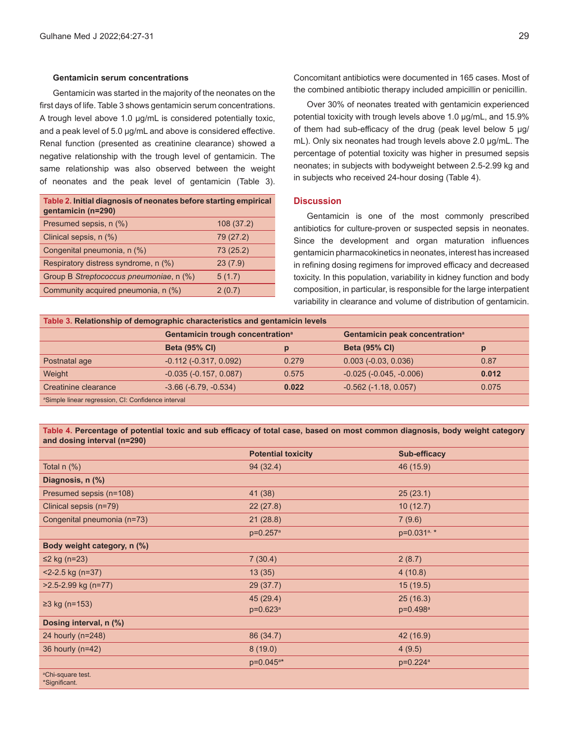#### **Gentamicin serum concentrations**

Gentamicin was started in the majority of the neonates on the first days of life. Table 3 shows gentamicin serum concentrations. A trough level above 1.0 µg/mL is considered potentially toxic, and a peak level of 5.0 ug/mL and above is considered effective. Renal function (presented as creatinine clearance) showed a negative relationship with the trough level of gentamicin. The same relationship was also observed between the weight of neonates and the peak level of gentamicin (Table 3).

| Table 2. Initial diagnosis of neonates before starting empirical<br>gentamicin (n=290) |           |
|----------------------------------------------------------------------------------------|-----------|
| Presumed sepsis, n (%)                                                                 | 108(37.2) |
| Clinical sepsis, n (%)                                                                 | 79 (27.2) |
| Congenital pneumonia, n (%)                                                            | 73 (25.2) |
| Respiratory distress syndrome, n (%)                                                   | 23(7.9)   |
| Group B Streptococcus pneumoniae, n (%)                                                | 5(1.7)    |
| Community acquired pneumonia, n (%)                                                    | 2(0.7)    |

Concomitant antibiotics were documented in 165 cases. Most of the combined antibiotic therapy included ampicillin or penicillin.

Over 30% of neonates treated with gentamicin experienced potential toxicity with trough levels above 1.0 μg/mL, and 15.9% of them had sub-efficacy of the drug (peak level below 5 μg/ mL). Only six neonates had trough levels above 2.0 μg/mL. The percentage of potential toxicity was higher in presumed sepsis neonates; in subjects with bodyweight between 2.5-2.99 kg and in subjects who received 24-hour dosing (Table 4).

# **Discussion**

Gentamicin is one of the most commonly prescribed antibiotics for culture-proven or suspected sepsis in neonates. Since the development and organ maturation influences gentamicin pharmacokinetics in neonates, interest has increased in refining dosing regimens for improved efficacy and decreased toxicity. In this population, variability in kidney function and body composition, in particular, is responsible for the large interpatient variability in clearance and volume of distribution of gentamicin.

| Table 3. Relationship of demographic characteristics and gentamicin levels |                                              |       |                                            |       |  |  |
|----------------------------------------------------------------------------|----------------------------------------------|-------|--------------------------------------------|-------|--|--|
|                                                                            | Gentamicin trough concentration <sup>a</sup> |       | Gentamicin peak concentration <sup>a</sup> |       |  |  |
|                                                                            | <b>Beta (95% CI)</b>                         | p     | <b>Beta (95% CI)</b>                       | p     |  |  |
| Postnatal age                                                              | $-0.112$ $(-0.317, 0.092)$                   | 0.279 | $0.003$ ( $-0.03$ , $0.036$ )              | 0.87  |  |  |
| Weight                                                                     | $-0.035(-0.157, 0.087)$                      | 0.575 | $-0.025(-0.045, -0.006)$                   | 0.012 |  |  |
| Creatinine clearance                                                       | $-3.66$ $(-6.79, -0.534)$                    | 0.022 | $-0.562$ ( $-1.18$ , $0.057$ )             | 0.075 |  |  |
| <sup>a</sup> Simple linear regression, CI: Confidence interval             |                                              |       |                                            |       |  |  |

## **Table 4. Percentage of potential toxic and sub efficacy of total case, based on most common diagnosis, body weight category and dosing interval (n=290)**

|                                                | <b>Potential toxicity</b> | <b>Sub-efficacy</b>  |
|------------------------------------------------|---------------------------|----------------------|
| Total $n$ $%$ )                                | 94 (32.4)                 | 46 (15.9)            |
| Diagnosis, n (%)                               |                           |                      |
| Presumed sepsis (n=108)                        | 41 (38)                   | 25(23.1)             |
| Clinical sepsis (n=79)                         | 22(27.8)                  | 10(12.7)             |
| Congenital pneumonia (n=73)                    | 21(28.8)                  | 7(9.6)               |
|                                                | p=0.257 <sup>a</sup>      | p=0.031a, *          |
| Body weight category, n (%)                    |                           |                      |
| $\leq$ 2 kg (n=23)                             | 7(30.4)                   | 2(8.7)               |
| $<$ 2-2.5 kg (n=37)                            | 13(35)                    | 4(10.8)              |
| >2.5-2.99 kg (n=77)                            | 29 (37.7)                 | 15 (19.5)            |
| $≥3$ kg (n=153)                                | 45 (29.4)                 | 25(16.3)             |
|                                                | $p=0.623^a$               | p=0.498 <sup>a</sup> |
| Dosing interval, n (%)                         |                           |                      |
| 24 hourly (n=248)                              | 86 (34.7)                 | 42 (16.9)            |
| 36 hourly (n=42)                               | 8(19.0)                   | 4(9.5)               |
|                                                | p=0.045 <sup>a*</sup>     | p=0.224 <sup>a</sup> |
| <sup>a</sup> Chi-square test.<br>*Significant. |                           |                      |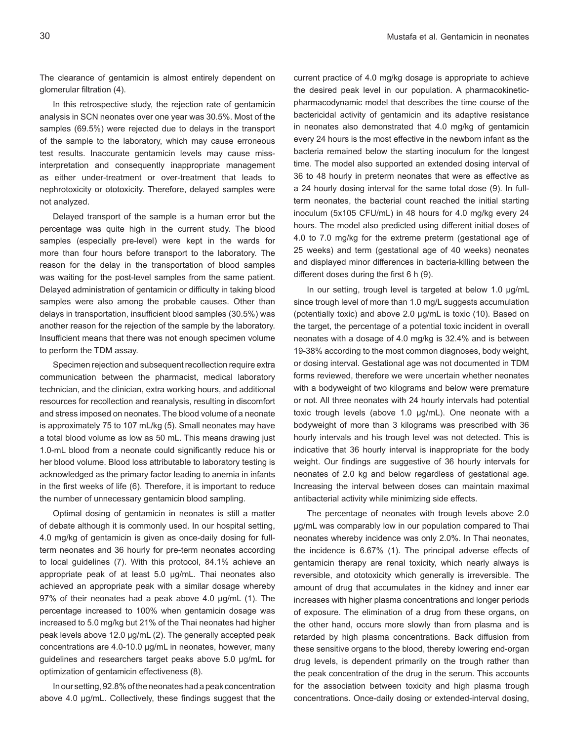The clearance of gentamicin is almost entirely dependent on glomerular filtration (4).

In this retrospective study, the rejection rate of gentamicin analysis in SCN neonates over one year was 30.5%. Most of the samples (69.5%) were rejected due to delays in the transport of the sample to the laboratory, which may cause erroneous test results. Inaccurate gentamicin levels may cause missinterpretation and consequently inappropriate management as either under-treatment or over-treatment that leads to nephrotoxicity or ototoxicity. Therefore, delayed samples were not analyzed.

Delayed transport of the sample is a human error but the percentage was quite high in the current study. The blood samples (especially pre-level) were kept in the wards for more than four hours before transport to the laboratory. The reason for the delay in the transportation of blood samples was waiting for the post-level samples from the same patient. Delayed administration of gentamicin or difficulty in taking blood samples were also among the probable causes. Other than delays in transportation, insufficient blood samples (30.5%) was another reason for the rejection of the sample by the laboratory. Insufficient means that there was not enough specimen volume to perform the TDM assay.

Specimen rejection and subsequent recollection require extra communication between the pharmacist, medical laboratory technician, and the clinician, extra working hours, and additional resources for recollection and reanalysis, resulting in discomfort and stress imposed on neonates. The blood volume of a neonate is approximately 75 to 107 mL/kg (5). Small neonates may have a total blood volume as low as 50 mL. This means drawing just 1.0-mL blood from a neonate could significantly reduce his or her blood volume. Blood loss attributable to laboratory testing is acknowledged as the primary factor leading to anemia in infants in the first weeks of life (6). Therefore, it is important to reduce the number of unnecessary gentamicin blood sampling.

Optimal dosing of gentamicin in neonates is still a matter of debate although it is commonly used. In our hospital setting, 4.0 mg/kg of gentamicin is given as once-daily dosing for fullterm neonates and 36 hourly for pre-term neonates according to local guidelines (7). With this protocol, 84.1% achieve an appropriate peak of at least 5.0 µg/mL. Thai neonates also achieved an appropriate peak with a similar dosage whereby 97% of their neonates had a peak above 4.0 µg/mL (1). The percentage increased to 100% when gentamicin dosage was increased to 5.0 mg/kg but 21% of the Thai neonates had higher peak levels above 12.0 µg/mL (2). The generally accepted peak concentrations are 4.0-10.0 μg/mL in neonates, however, many guidelines and researchers target peaks above 5.0 µg/mL for optimization of gentamicin effectiveness (8).

In our setting, 92.8% of the neonates had a peak concentration above 4.0 µg/mL. Collectively, these findings suggest that the current practice of 4.0 mg/kg dosage is appropriate to achieve the desired peak level in our population. A pharmacokineticpharmacodynamic model that describes the time course of the bactericidal activity of gentamicin and its adaptive resistance in neonates also demonstrated that 4.0 mg/kg of gentamicin every 24 hours is the most effective in the newborn infant as the bacteria remained below the starting inoculum for the longest time. The model also supported an extended dosing interval of 36 to 48 hourly in preterm neonates that were as effective as a 24 hourly dosing interval for the same total dose (9). In fullterm neonates, the bacterial count reached the initial starting inoculum (5x105 CFU/mL) in 48 hours for 4.0 mg/kg every 24 hours. The model also predicted using different initial doses of 4.0 to 7.0 mg/kg for the extreme preterm (gestational age of 25 weeks) and term (gestational age of 40 weeks) neonates and displayed minor differences in bacteria-killing between the different doses during the first 6 h (9).

In our setting, trough level is targeted at below 1.0 µg/mL since trough level of more than 1.0 mg/L suggests accumulation (potentially toxic) and above 2.0 µg/mL is toxic (10). Based on the target, the percentage of a potential toxic incident in overall neonates with a dosage of 4.0 mg/kg is 32.4% and is between 19-38% according to the most common diagnoses, body weight, or dosing interval. Gestational age was not documented in TDM forms reviewed, therefore we were uncertain whether neonates with a bodyweight of two kilograms and below were premature or not. All three neonates with 24 hourly intervals had potential toxic trough levels (above 1.0 µg/mL). One neonate with a bodyweight of more than 3 kilograms was prescribed with 36 hourly intervals and his trough level was not detected. This is indicative that 36 hourly interval is inappropriate for the body weight. Our findings are suggestive of 36 hourly intervals for neonates of 2.0 kg and below regardless of gestational age. Increasing the interval between doses can maintain maximal antibacterial activity while minimizing side effects.

The percentage of neonates with trough levels above 2.0 µg/mL was comparably low in our population compared to Thai neonates whereby incidence was only 2.0%. In Thai neonates, the incidence is 6.67% (1). The principal adverse effects of gentamicin therapy are renal toxicity, which nearly always is reversible, and ototoxicity which generally is irreversible. The amount of drug that accumulates in the kidney and inner ear increases with higher plasma concentrations and longer periods of exposure. The elimination of a drug from these organs, on the other hand, occurs more slowly than from plasma and is retarded by high plasma concentrations. Back diffusion from these sensitive organs to the blood, thereby lowering end-organ drug levels, is dependent primarily on the trough rather than the peak concentration of the drug in the serum. This accounts for the association between toxicity and high plasma trough concentrations. Once-daily dosing or extended-interval dosing,